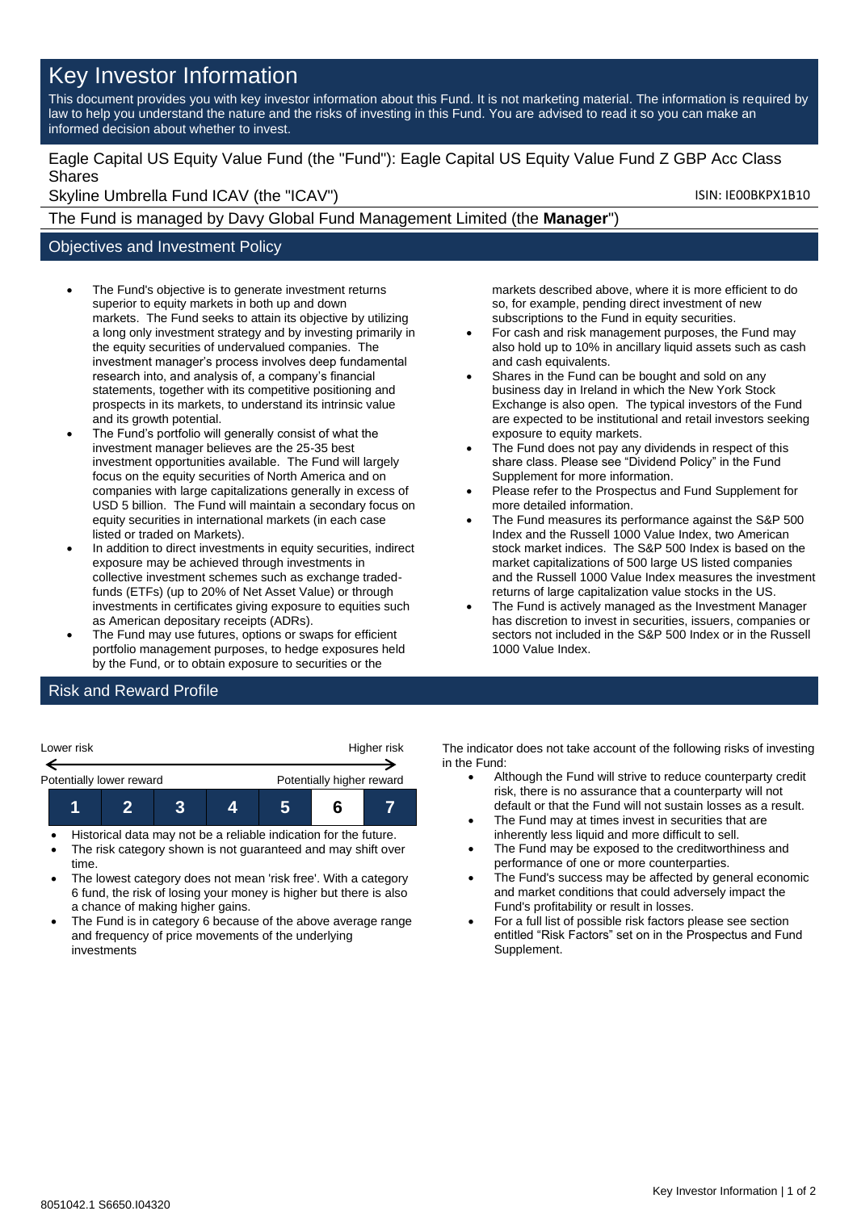## Key Investor Information

This document provides you with key investor information about this Fund. It is not marketing material. The information is required by law to help you understand the nature and the risks of investing in this Fund. You are advised to read it so you can make an informed decision about whether to invest.

Eagle Capital US Equity Value Fund (the "Fund"): Eagle Capital US Equity Value Fund Z GBP Acc Class Shares

Skyline Umbrella Fund ICAV (the "ICAV") Skyline Umbrella Fund ICAV (the "ICAV")

The Fund is managed by Davy Global Fund Management Limited (the **Manager**")

## Objectives and Investment Policy

- The Fund's objective is to generate investment returns superior to equity markets in both up and down markets. The Fund seeks to attain its objective by utilizing a long only investment strategy and by investing primarily in the equity securities of undervalued companies. The investment manager's process involves deep fundamental research into, and analysis of, a company's financial statements, together with its competitive positioning and prospects in its markets, to understand its intrinsic value and its growth potential.
- The Fund's portfolio will generally consist of what the investment manager believes are the 25-35 best investment opportunities available. The Fund will largely focus on the equity securities of North America and on companies with large capitalizations generally in excess of USD 5 billion. The Fund will maintain a secondary focus on equity securities in international markets (in each case listed or traded on Markets).
- In addition to direct investments in equity securities, indirect exposure may be achieved through investments in collective investment schemes such as exchange tradedfunds (ETFs) (up to 20% of Net Asset Value) or through investments in certificates giving exposure to equities such as American depositary receipts (ADRs).
- The Fund may use futures, options or swaps for efficient portfolio management purposes, to hedge exposures held by the Fund, or to obtain exposure to securities or the

markets described above, where it is more efficient to do so, for example, pending direct investment of new subscriptions to the Fund in equity securities.

- For cash and risk management purposes, the Fund may also hold up to 10% in ancillary liquid assets such as cash and cash equivalents.
- Shares in the Fund can be bought and sold on any business day in Ireland in which the New York Stock Exchange is also open. The typical investors of the Fund are expected to be institutional and retail investors seeking exposure to equity markets.
- The Fund does not pay any dividends in respect of this share class. Please see "Dividend Policy" in the Fund Supplement for more information.
- Please refer to the Prospectus and Fund Supplement for more detailed information.
- The Fund measures its performance against the S&P 500 Index and the Russell 1000 Value Index, two American stock market indices. The S&P 500 Index is based on the market capitalizations of 500 large US listed companies and the Russell 1000 Value Index measures the investment returns of large capitalization value stocks in the US.
- The Fund is actively managed as the Investment Manager has discretion to invest in securities, issuers, companies or sectors not included in the S&P 500 Index or in the Russell 1000 Value Index.

## Risk and Reward Profile

| Lower risk               |  | Higher risk |  |                           |  |  |
|--------------------------|--|-------------|--|---------------------------|--|--|
| Potentially lower reward |  |             |  | Potentially higher reward |  |  |
|                          |  |             |  |                           |  |  |

- Historical data may not be a reliable indication for the future.
- The risk category shown is not guaranteed and may shift over time.
- The lowest category does not mean 'risk free'. With a category 6 fund, the risk of losing your money is higher but there is also a chance of making higher gains.
- The Fund is in category 6 because of the above average range and frequency of price movements of the underlying investments

The indicator does not take account of the following risks of investing in the Fund:

- Although the Fund will strive to reduce counterparty credit risk, there is no assurance that a counterparty will not default or that the Fund will not sustain losses as a result.
- The Fund may at times invest in securities that are inherently less liquid and more difficult to sell.
- The Fund may be exposed to the creditworthiness and performance of one or more counterparties.
- The Fund's success may be affected by general economic and market conditions that could adversely impact the Fund's profitability or result in losses.
- For a full list of possible risk factors please see section entitled "Risk Factors" set on in the Prospectus and Fund Supplement.